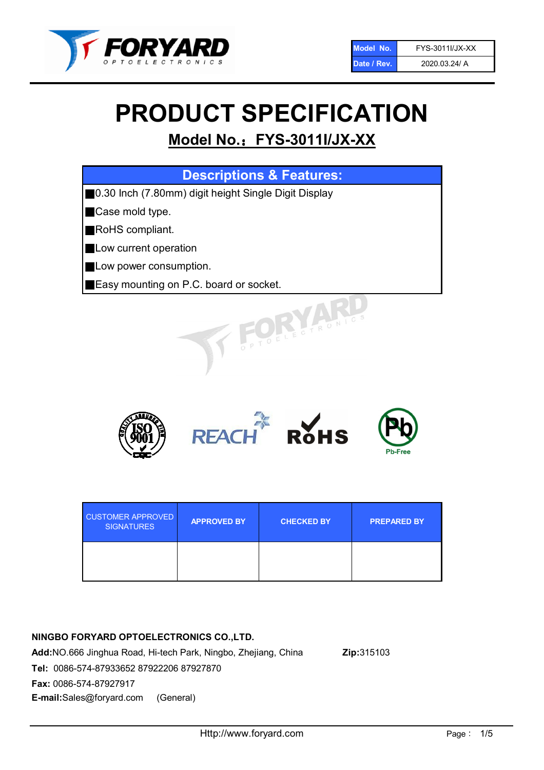

# PRODUCT SPECIFICATION

# Model No.: FYS-3011I/JX-XX

| <b>Descriptions &amp; Features:</b>                   |
|-------------------------------------------------------|
| ■0.30 Inch (7.80mm) digit height Single Digit Display |
| Case mold type.<br>Ш                                  |
| RoHS compliant.                                       |
| <b>Low current operation</b>                          |
| Low power consumption.                                |
| <b>Easy mounting on P.C. board or socket.</b>         |
| OFLECTRONIC                                           |



| <b>CUSTOMER APPROVED</b><br><b>SIGNATURES</b> | <b>APPROVED BY</b> | <b>CHECKED BY</b> | <b>PREPARED BY</b> |
|-----------------------------------------------|--------------------|-------------------|--------------------|
|                                               |                    |                   |                    |

# NINGBO FORYARD OPTOELECTRONICS CO.,LTD.

Add:NO.666 Jinghua Road, Hi-tech Park, Ningbo, Zhejiang, China Zip:315103 Tel: 0086-574-87933652 87922206 87927870 Fax: 0086-574-87927917 E-mail:Sales@foryard.com (General)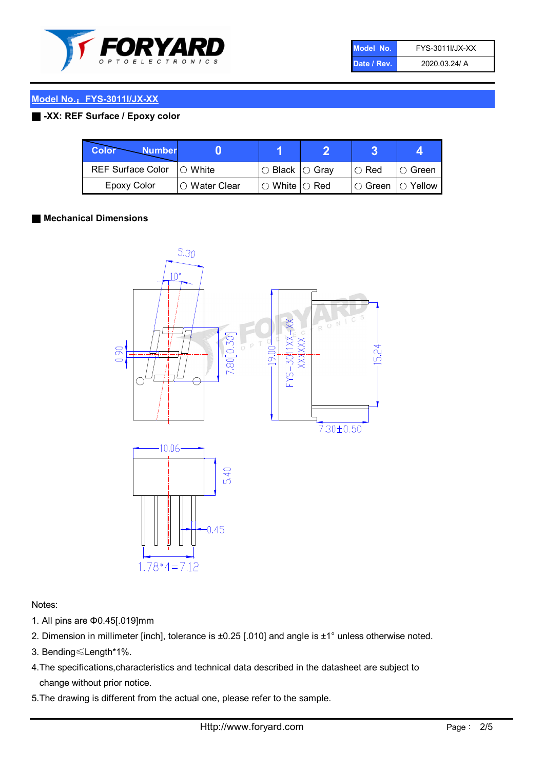

| Model No.   | <b>FYS-3011I/JX-XX</b> |
|-------------|------------------------|
| Date / Rev. | 2020.03.24/ A          |

# ■ -XX: REF Surface / Epoxy color

| Color<br><b>Number</b>     |                 |                           |             |                |
|----------------------------|-----------------|---------------------------|-------------|----------------|
| REF Surface Color  ○ White |                 | ○ Black  ○ Gray           | $\circ$ Red | IO Green       |
| Epoxy Color                | l ⊜ Water Clear | $\circ$ White $\circ$ Red | I⊖ Green    | $\circ$ Yellow |

### ■ Mechanical Dimensions



Notes:

- 1. All pins are Φ0.45[.019]mm
- 2. Dimension in millimeter [inch], tolerance is ±0.25 [.010] and angle is ±1° unless otherwise noted.
- 3. Bending≤Length\*1%.
- 4.The specifications,characteristics and technical data described in the datasheet are subject to change without prior notice.
- 5.The drawing is different from the actual one, please refer to the sample.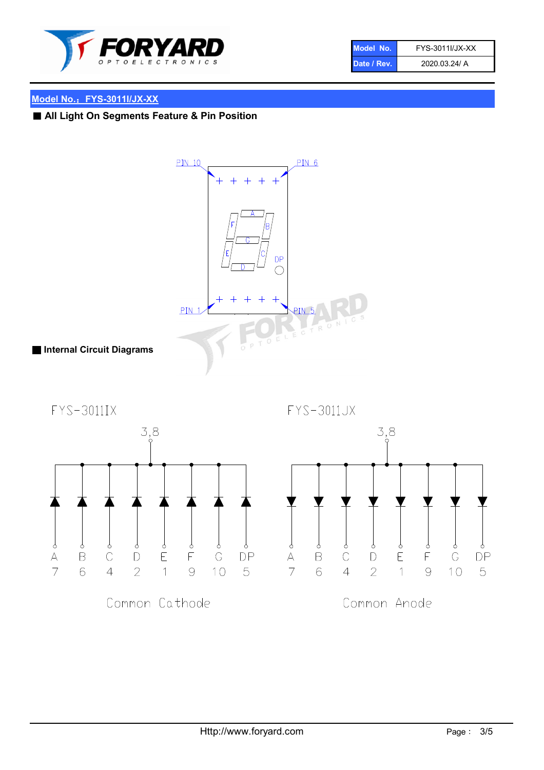

| Model No.   | FYS-3011I/JX-XX |
|-------------|-----------------|
| Date / Rev. | 2020.03.24/ A   |

# ■ All Light On Segments Feature & Pin Position



Common Cathode

Common Anode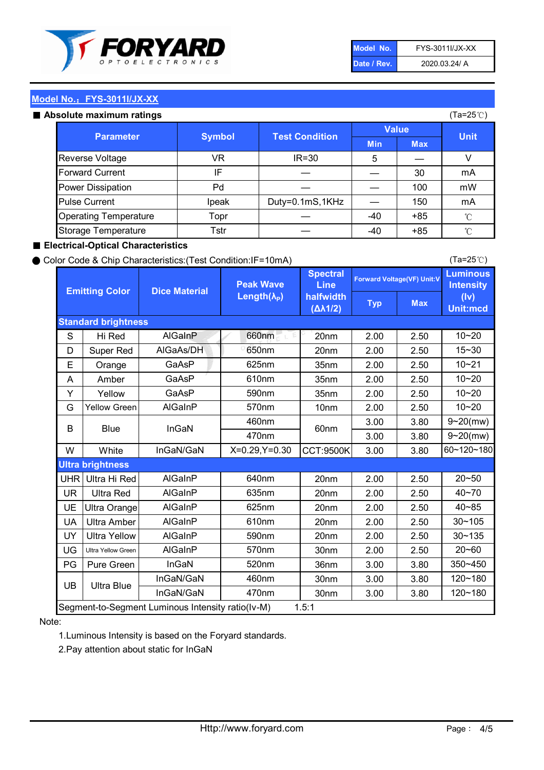

| Model No.   | <b>FYS-3011I/JX-XX</b> |
|-------------|------------------------|
| Date / Rev. | 2020.03.24/ A          |

#### Absolute maximum ratings

| סטוענט וווסגוווועווו וסנווועס |               |                       |              |            | $(1a - 20c)$ |
|-------------------------------|---------------|-----------------------|--------------|------------|--------------|
| <b>Parameter</b>              | <b>Symbol</b> | <b>Test Condition</b> | <b>Value</b> |            | <b>Unit</b>  |
|                               |               |                       | <b>Min</b>   | <b>Max</b> |              |
| Reverse Voltage               | VR.           | $IR = 30$             | 5            |            |              |
| <b>Forward Current</b>        | IF            |                       |              | 30         | mA           |
| <b>Power Dissipation</b>      | Pd            |                       |              | 100        | mW           |
| <b>Pulse Current</b>          | Ipeak         | Duty=0.1mS,1KHz       |              | 150        | mA           |
| <b>Operating Temperature</b>  | Topr          |                       | $-40$        | $+85$      | $^{\circ}$ C |
| Storage Temperature           | Tstr          |                       | -40          | $+85$      | °C           |

#### ■ Electrical-Optical Characteristics

#### ● Color Code & Chip Characteristics:(Test Condition:IF=10mA)

Typ Max S | Hi $\textsf{Red}$  | AlGaInP | 660nm LE 20nm | 2.00 | 2.50 D | Super Red | AIGaAs/DH | 650nm | 20nm | 2.00 | 2.50 E | Orange | GaAsP | 625nm | 35nm | 2.00 | 2.50 A | Amber | GaAsP | 610nm | 35nm | 2.00 | 2.50 Y | Yellow | GaAsP | 590nm | 35nm | 2.00 | 2.50 G Yellow Green AIGaInP | 570nm | 10nm | 2.00 | 2.50 3.00 3.80 3.00 3.80 W | White | InGaN/GaN | X=0.29,Y=0.30 |CCT:9500K| 3.00 | 3.80 UHR Ultra Hi Red  $\vert$  AIGaInP  $\vert$  640nm  $\vert$  20nm  $\vert$  2.00  $\vert$  2.50 UR | Ultra Red | AlGaInP | 635nm | 20nm | 2.00 | 2.50 UE Ultra Orange | AIGaInP | 625nm | 20nm | 2.00 | 2.50 UA Ultra Amber | AIGaInP | 610nm | 20nm | 2.00 | 2.50  $UV$  Ultra Yellow  $\vert$  AlGaInP  $\vert$  590nm  $\vert$  20nm  $\vert$  2.00  $\vert$  2.50  $\text{UG}$  Ultra Yellow Green | AIGaInP | 570nm | 30nm | 2.00 | 2.50 PG Pure Green | InGaN | 520nm | 36nm | 3.00 | 3.80 30nm 3.00 3.80 30nm 3.00 3.80 10~20 Standard brightness Forward Voltage(VF) Unit:V 15~30 10~20 625nm GaAsP 590nm **Emitting Color Dice Material** 10~21 610nm 10~20 Luminous **Intensity** (Iv) Unit:mcd AlGainP 660nm GaAsP GaAsP AlGaAs/DH **Spectral** Line halfwidth (∆λ1/2) Peak Wave Length $(\lambda_{\rm P})$ UB 460nm 635nm AlGaInP AlGaInP AlGaInP InGaN/GaN AlGaInP | 570nm | 10nm | 2.00 | 2.50 | 10~20 30~105 30~135 460nm 520nm Ultra brightness **AlGaInP** AlGaInP 60nm AlGaInP 640nm Segment-to-Segment Luminous Intensity ratio(Iv-M) 1.5:1 610nm 9~20(mw) 350~450 470nm 120~180 120~180 Ultra Blue InGaN/GaN 9~20(mw) 20~50 570nm | 30nm | 2.00 | 2.50 | 20~60 470nm 590nm InGaN/GaN B Blue I InGaN 40~85 60~120~180 40~70

#### Note:

1.Luminous Intensity is based on the Foryard standards.

2.Pay attention about static for InGaN

(Ta=25℃)

(Ta=25℃)